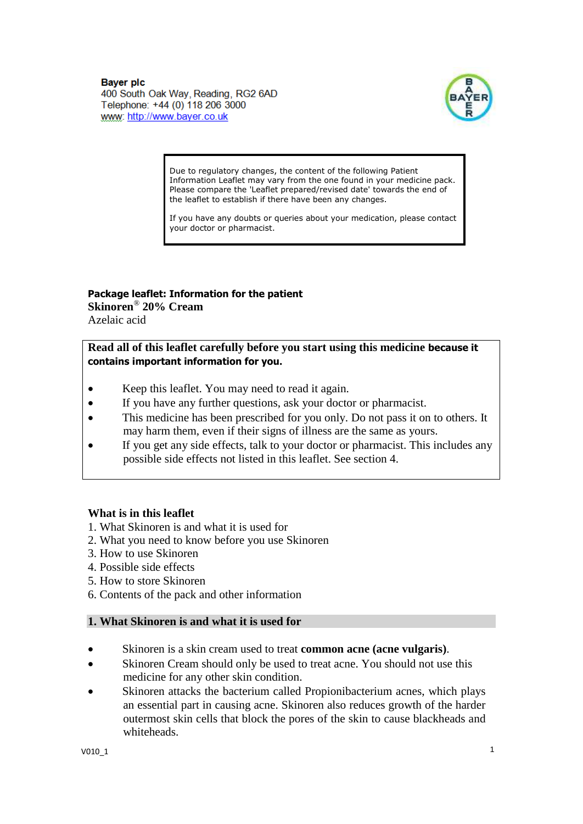

Due to regulatory changes, the content of the following Patient Information Leaflet may vary from the one found in your medicine pack. Please compare the 'Leaflet prepared/revised date' towards the end of the leaflet to establish if there have been any changes.

If you have any doubts or queries about your medication, please contact your doctor or pharmacist.

# **Package leaflet: Information for the patient Skinoren**® **20% Cream**

Azelaic acid

# **Read all of this leaflet carefully before you start using this medicine because it contains important information for you.**

- Keep this leaflet. You may need to read it again.
- If you have any further questions, ask your doctor or pharmacist.
- This medicine has been prescribed for you only. Do not pass it on to others. It may harm them, even if their signs of illness are the same as yours.
- If you get any side effects, talk to your doctor or pharmacist. This includes any possible side effects not listed in this leaflet. See section 4.

## **What is in this leaflet**

- 1. What Skinoren is and what it is used for
- 2. What you need to know before you use Skinoren
- 3. How to use Skinoren
- 4. Possible side effects
- 5. How to store Skinoren
- 6. Contents of the pack and other information

## **1. What Skinoren is and what it is used for**

- Skinoren is a skin cream used to treat **common acne (acne vulgaris)**.
- Skinoren Cream should only be used to treat acne. You should not use this medicine for any other skin condition.
- Skinoren attacks the bacterium called Propionibacterium acnes, which plays an essential part in causing acne. Skinoren also reduces growth of the harder outermost skin cells that block the pores of the skin to cause blackheads and whiteheads.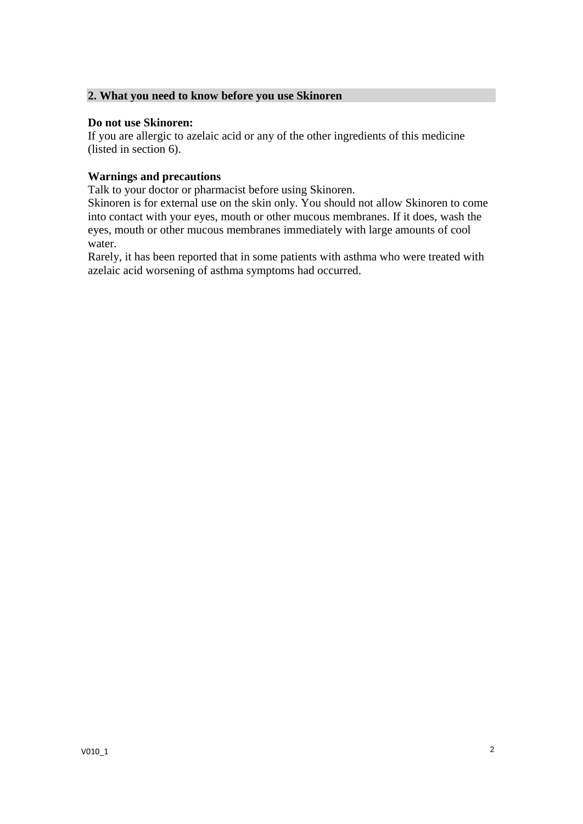## **2. What you need to know before you use Skinoren**

#### **Do not use Skinoren:**

If you are allergic to azelaic acid or any of the other ingredients of this medicine (listed in section 6).

#### **Warnings and precautions**

Talk to your doctor or pharmacist before using Skinoren.

Skinoren is for external use on the skin only. You should not allow Skinoren to come into contact with your eyes, mouth or other mucous membranes. If it does, wash the eyes, mouth or other mucous membranes immediately with large amounts of cool water.

Rarely, it has been reported that in some patients with asthma who were treated with azelaic acid worsening of asthma symptoms had occurred.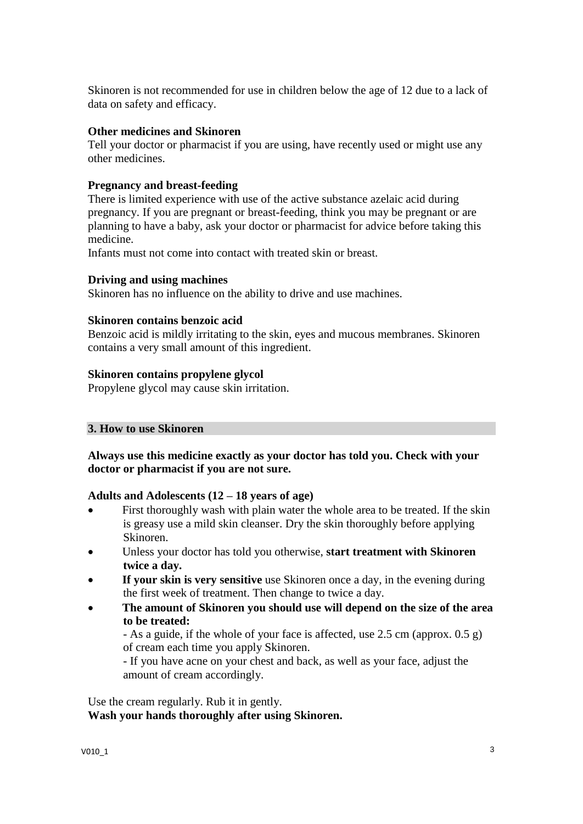Skinoren is not recommended for use in children below the age of 12 due to a lack of data on safety and efficacy.

# **Other medicines and Skinoren**

Tell your doctor or pharmacist if you are using, have recently used or might use any other medicines.

# **Pregnancy and breast-feeding**

There is limited experience with use of the active substance azelaic acid during pregnancy. If you are pregnant or breast-feeding, think you may be pregnant or are planning to have a baby, ask your doctor or pharmacist for advice before taking this medicine.

Infants must not come into contact with treated skin or breast.

## **Driving and using machines**

Skinoren has no influence on the ability to drive and use machines.

## **Skinoren contains benzoic acid**

Benzoic acid is mildly irritating to the skin, eyes and mucous membranes. Skinoren contains a very small amount of this ingredient.

## **Skinoren contains propylene glycol**

Propylene glycol may cause skin irritation.

## **3. How to use Skinoren**

# **Always use this medicine exactly as your doctor has told you. Check with your doctor or pharmacist if you are not sure.**

## **Adults and Adolescents (12 – 18 years of age)**

- First thoroughly wash with plain water the whole area to be treated. If the skin is greasy use a mild skin cleanser. Dry the skin thoroughly before applying Skinoren.
- Unless your doctor has told you otherwise, **start treatment with Skinoren twice a day.**
- **If your skin is very sensitive** use Skinoren once a day, in the evening during the first week of treatment. Then change to twice a day.
- **The amount of Skinoren you should use will depend on the size of the area to be treated:**

- As a guide, if the whole of your face is affected, use 2.5 cm (approx. 0.5 g) of cream each time you apply Skinoren.

- If you have acne on your chest and back, as well as your face, adjust the amount of cream accordingly.

Use the cream regularly. Rub it in gently. **Wash your hands thoroughly after using Skinoren.**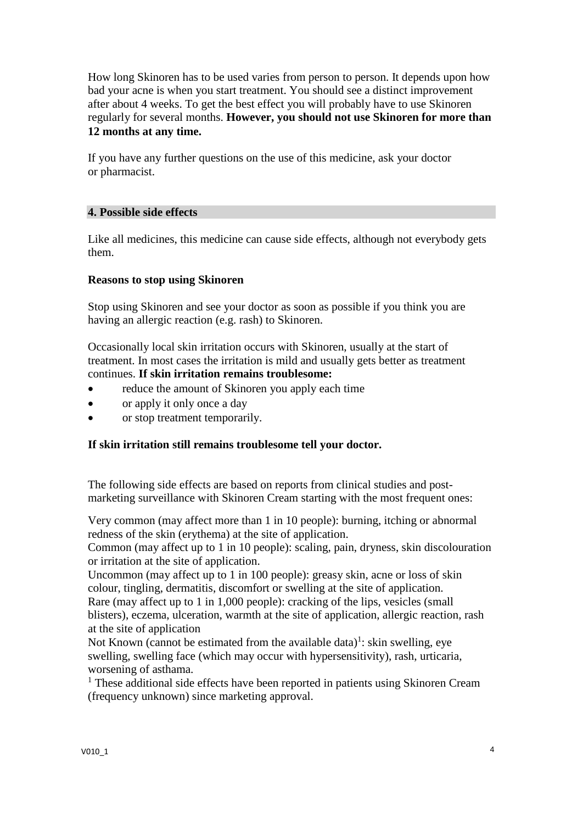How long Skinoren has to be used varies from person to person. It depends upon how bad your acne is when you start treatment. You should see a distinct improvement after about 4 weeks. To get the best effect you will probably have to use Skinoren regularly for several months. **However, you should not use Skinoren for more than 12 months at any time.**

If you have any further questions on the use of this medicine, ask your doctor or pharmacist.

# **4. Possible side effects**

Like all medicines, this medicine can cause side effects, although not everybody gets them.

## **Reasons to stop using Skinoren**

Stop using Skinoren and see your doctor as soon as possible if you think you are having an allergic reaction (e.g. rash) to Skinoren.

Occasionally local skin irritation occurs with Skinoren, usually at the start of treatment. In most cases the irritation is mild and usually gets better as treatment continues. **If skin irritation remains troublesome:**

- reduce the amount of Skinoren you apply each time
- or apply it only once a day
- or stop treatment temporarily.

#### **If skin irritation still remains troublesome tell your doctor.**

The following side effects are based on reports from clinical studies and postmarketing surveillance with Skinoren Cream starting with the most frequent ones:

Very common (may affect more than 1 in 10 people): burning, itching or abnormal redness of the skin (erythema) at the site of application.

Common (may affect up to 1 in 10 people): scaling, pain, dryness, skin discolouration or irritation at the site of application.

Uncommon (may affect up to 1 in 100 people): greasy skin, acne or loss of skin colour, tingling, dermatitis, discomfort or swelling at the site of application. Rare (may affect up to 1 in 1,000 people): cracking of the lips, vesicles (small blisters), eczema, ulceration, warmth at the site of application, allergic reaction, rash at the site of application

Not Known (cannot be estimated from the available data)<sup>1</sup>: skin swelling, eye swelling, swelling face (which may occur with hypersensitivity), rash, urticaria, worsening of asthama.

<sup>1</sup> These additional side effects have been reported in patients using Skinoren Cream (frequency unknown) since marketing approval.